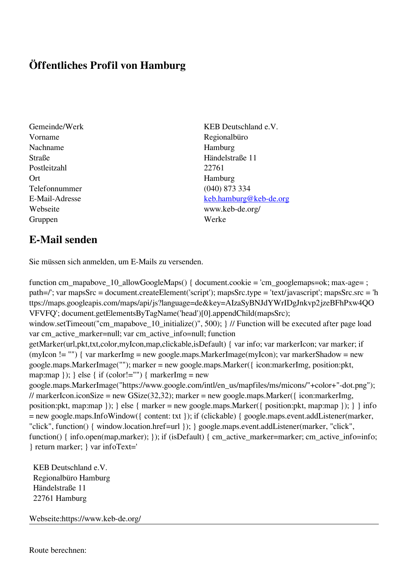## **Öffentliches Profil von Hamburg**

- Vorname Regionalbüro Nachname Hamburg Straße Händelstraße 11 Postleitzahl 22761 Ort Hamburg Telefonnummer (040) 873 334 Gruppen Werke
- Gemeinde/Werk KEB Deutschland e.V. E-Mail-Adresse [keb.hamburg@keb-de.org](mailto:keb.hamburg@keb-de.org) Webseite www.keb-de.org/

## **E-Mail senden**

Sie müssen sich anmelden, um E-Mails zu versenden.

function cm\_mapabove\_10\_allowGoogleMaps() { document.cookie = 'cm\_googlemaps=ok; max-age= ; path=/'; var mapsSrc = document.createElement('script'); mapsSrc.type = 'text/javascript'; mapsSrc.src = 'h ttps://maps.googleapis.com/maps/api/js?language=de&key=AIzaSyBNJdYWrIDgJnkvp2jzeBFhPxw4QO VFVFQ'; document.getElementsByTagName('head')[0].appendChild(mapsSrc); window.setTimeout("cm\_mapabove\_10\_initialize()", 500); } // Function will be executed after page load var cm\_active\_marker=null; var cm\_active\_info=null; function getMarker(url,pkt,txt,color,myIcon,map,clickable,isDefault) { var info; var markerIcon; var marker; if (myIcon != "") { var markerImg = new google.maps.MarkerImage(myIcon); var markerShadow = new google.maps.MarkerImage(""); marker = new google.maps.Marker({ icon:markerImg, position:pkt, map:map  $\}$ ;  $\}$  else  $\{$  if (color!="")  $\{$  markerImg = new google.maps.MarkerImage("https://www.google.com/intl/en\_us/mapfiles/ms/micons/"+color+"-dot.png"); // markerIcon.iconSize = new GSize(32,32); marker = new google.maps.Marker( $\{$  icon:markerImg, position:pkt, map:map }); } else { marker = new google.maps.Marker({ position:pkt, map:map }); } } info = new google.maps.InfoWindow({ content: txt }); if (clickable) { google.maps.event.addListener(marker, "click", function() { window.location.href=url }); } google.maps.event.addListener(marker, "click", function() { info.open(map,marker); }); if (isDefault) { cm\_active\_marker=marker; cm\_active\_info=info; } return marker; } var infoText='

 KEB Deutschland e.V. Regionalbüro Hamburg Händelstraße 11 22761 Hamburg

Webseite:https://www.keb-de.org/